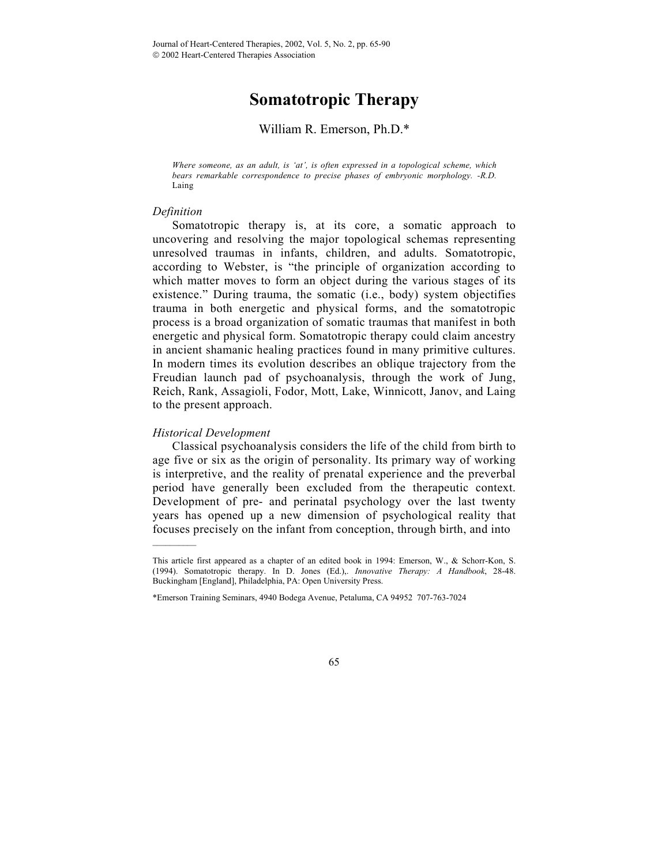# **Somatotropic Therapy**

William R. Emerson, Ph.D.\*

*Where someone, as an adult, is 'at', is often expressed in a topological scheme, which bears remarkable correspondence to precise phases of embryonic morphology. -R.D.*  Laing

## *Definition*

Somatotropic therapy is, at its core, a somatic approach to uncovering and resolving the major topological schemas representing unresolved traumas in infants, children, and adults. Somatotropic, according to Webster, is "the principle of organization according to which matter moves to form an object during the various stages of its existence." During trauma, the somatic (i.e., body) system objectifies trauma in both energetic and physical forms, and the somatotropic process is a broad organization of somatic traumas that manifest in both energetic and physical form. Somatotropic therapy could claim ancestry in ancient shamanic healing practices found in many primitive cultures. In modern times its evolution describes an oblique trajectory from the Freudian launch pad of psychoanalysis, through the work of Jung, Reich, Rank, Assagioli, Fodor, Mott, Lake, Winnicott, Janov, and Laing to the present approach.

## *Historical Development*

 $\mathcal{L}=\mathcal{L}$ 

Classical psychoanalysis considers the life of the child from birth to age five or six as the origin of personality. Its primary way of working is interpretive, and the reality of prenatal experience and the preverbal period have generally been excluded from the therapeutic context. Development of pre- and perinatal psychology over the last twenty years has opened up a new dimension of psychological reality that focuses precisely on the infant from conception, through birth, and into

This article first appeared as a chapter of an edited book in 1994: Emerson, W., & Schorr-Kon, S. (1994). Somatotropic therapy. In D. Jones (Ed.),. *Innovative Therapy: A Handbook*, 28-48. Buckingham [England], Philadelphia, PA: Open University Press.

<sup>\*</sup>Emerson Training Seminars, 4940 Bodega Avenue, Petaluma, CA 94952 707-763-7024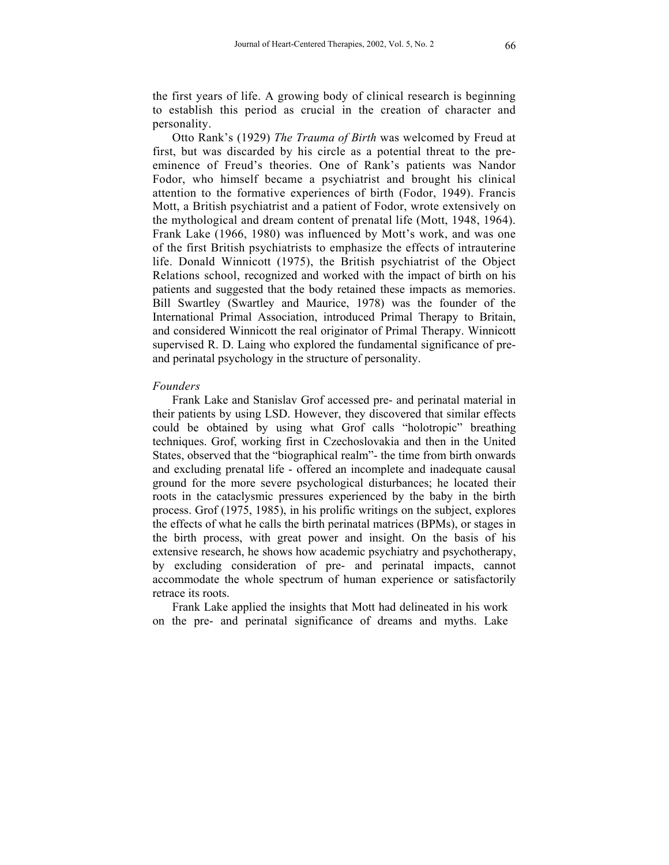the first years of life. A growing body of clinical research is beginning to establish this period as crucial in the creation of character and personality.

Otto Rank's (1929) *The Trauma of Birth* was welcomed by Freud at first, but was discarded by his circle as a potential threat to the preeminence of Freud's theories. One of Rank's patients was Nandor Fodor, who himself became a psychiatrist and brought his clinical attention to the formative experiences of birth (Fodor, 1949). Francis Mott, a British psychiatrist and a patient of Fodor, wrote extensively on the mythological and dream content of prenatal life (Mott, 1948, 1964). Frank Lake (1966, 1980) was influenced by Mott's work, and was one of the first British psychiatrists to emphasize the effects of intrauterine life. Donald Winnicott (1975), the British psychiatrist of the Object Relations school, recognized and worked with the impact of birth on his patients and suggested that the body retained these impacts as memories. Bill Swartley (Swartley and Maurice, 1978) was the founder of the International Primal Association, introduced Primal Therapy to Britain, and considered Winnicott the real originator of Primal Therapy. Winnicott supervised R. D. Laing who explored the fundamental significance of preand perinatal psychology in the structure of personality.

#### *Founders*

Frank Lake and Stanislav Grof accessed pre- and perinatal material in their patients by using LSD. However, they discovered that similar effects could be obtained by using what Grof calls "holotropic" breathing techniques. Grof, working first in Czechoslovakia and then in the United States, observed that the "biographical realm"- the time from birth onwards and excluding prenatal life - offered an incomplete and inadequate causal ground for the more severe psychological disturbances; he located their roots in the cataclysmic pressures experienced by the baby in the birth process. Grof (1975, 1985), in his prolific writings on the subject, explores the effects of what he calls the birth perinatal matrices (BPMs), or stages in the birth process, with great power and insight. On the basis of his extensive research, he shows how academic psychiatry and psychotherapy, by excluding consideration of pre- and perinatal impacts, cannot accommodate the whole spectrum of human experience or satisfactorily retrace its roots.

Frank Lake applied the insights that Mott had delineated in his work on the pre- and perinatal significance of dreams and myths. Lake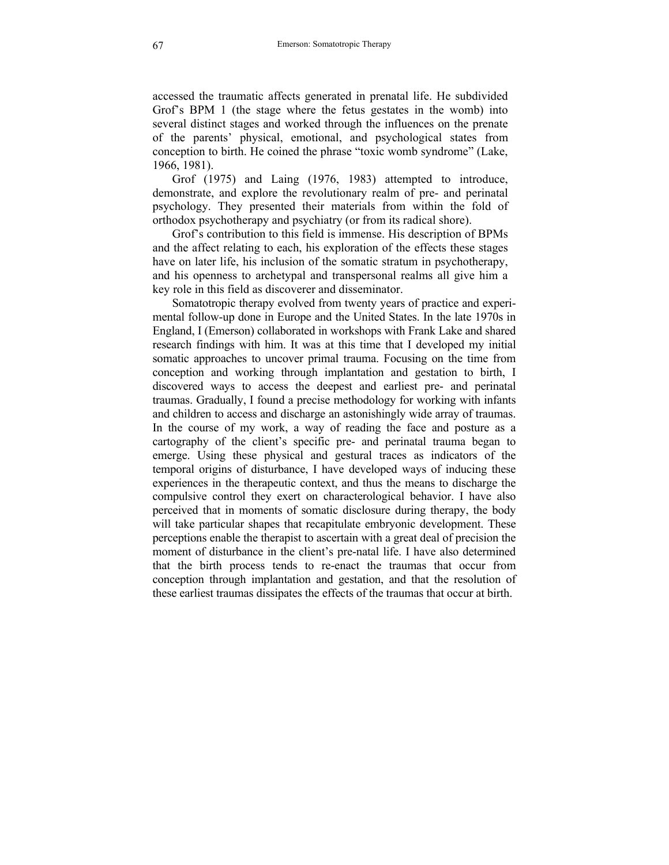accessed the traumatic affects generated in prenatal life. He subdivided Grof's BPM 1 (the stage where the fetus gestates in the womb) into several distinct stages and worked through the influences on the prenate of the parents' physical, emotional, and psychological states from conception to birth. He coined the phrase "toxic womb syndrome" (Lake, 1966, 1981).

Grof (1975) and Laing (1976, 1983) attempted to introduce, demonstrate, and explore the revolutionary realm of pre- and perinatal psychology. They presented their materials from within the fold of orthodox psychotherapy and psychiatry (or from its radical shore).

Grof's contribution to this field is immense. His description of BPMs and the affect relating to each, his exploration of the effects these stages have on later life, his inclusion of the somatic stratum in psychotherapy, and his openness to archetypal and transpersonal realms all give him a key role in this field as discoverer and disseminator.

Somatotropic therapy evolved from twenty years of practice and experimental follow-up done in Europe and the United States. In the late 1970s in England, I (Emerson) collaborated in workshops with Frank Lake and shared research findings with him. It was at this time that I developed my initial somatic approaches to uncover primal trauma. Focusing on the time from conception and working through implantation and gestation to birth, I discovered ways to access the deepest and earliest pre- and perinatal traumas. Gradually, I found a precise methodology for working with infants and children to access and discharge an astonishingly wide array of traumas. In the course of my work, a way of reading the face and posture as a cartography of the client's specific pre- and perinatal trauma began to emerge. Using these physical and gestural traces as indicators of the temporal origins of disturbance, I have developed ways of inducing these experiences in the therapeutic context, and thus the means to discharge the compulsive control they exert on characterological behavior. I have also perceived that in moments of somatic disclosure during therapy, the body will take particular shapes that recapitulate embryonic development. These perceptions enable the therapist to ascertain with a great deal of precision the moment of disturbance in the client's pre-natal life. I have also determined that the birth process tends to re-enact the traumas that occur from conception through implantation and gestation, and that the resolution of these earliest traumas dissipates the effects of the traumas that occur at birth.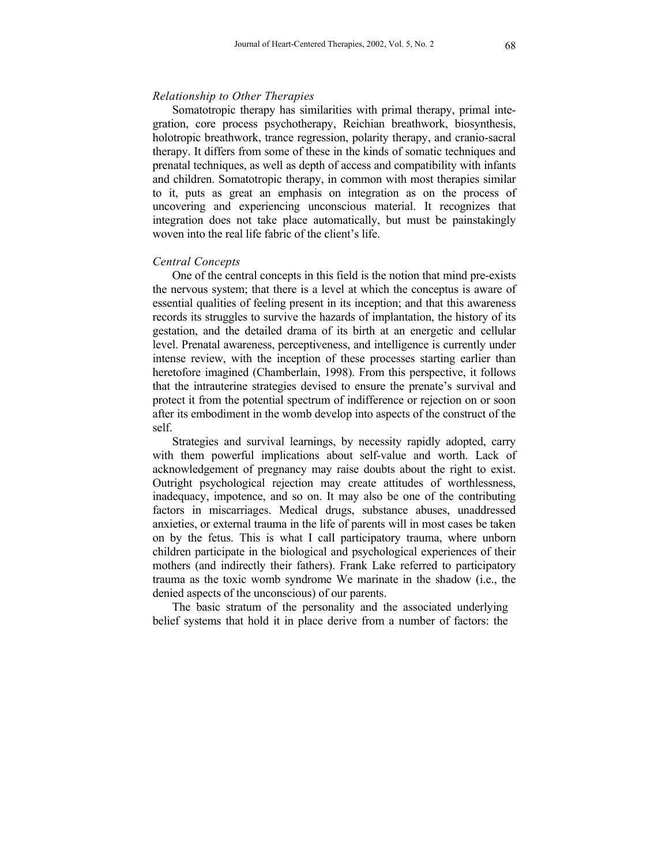#### *Relationship to Other Therapies*

Somatotropic therapy has similarities with primal therapy, primal integration, core process psychotherapy, Reichian breathwork, biosynthesis, holotropic breathwork, trance regression, polarity therapy, and cranio-sacral therapy. It differs from some of these in the kinds of somatic techniques and prenatal techniques, as well as depth of access and compatibility with infants and children. Somatotropic therapy, in common with most therapies similar to it, puts as great an emphasis on integration as on the process of uncovering and experiencing unconscious material. It recognizes that integration does not take place automatically, but must be painstakingly woven into the real life fabric of the client's life.

#### *Central Concepts*

One of the central concepts in this field is the notion that mind pre-exists the nervous system; that there is a level at which the conceptus is aware of essential qualities of feeling present in its inception; and that this awareness records its struggles to survive the hazards of implantation, the history of its gestation, and the detailed drama of its birth at an energetic and cellular level. Prenatal awareness, perceptiveness, and intelligence is currently under intense review, with the inception of these processes starting earlier than heretofore imagined (Chamberlain, 1998). From this perspective, it follows that the intrauterine strategies devised to ensure the prenate's survival and protect it from the potential spectrum of indifference or rejection on or soon after its embodiment in the womb develop into aspects of the construct of the self.

Strategies and survival learnings, by necessity rapidly adopted, carry with them powerful implications about self-value and worth. Lack of acknowledgement of pregnancy may raise doubts about the right to exist. Outright psychological rejection may create attitudes of worthlessness, inadequacy, impotence, and so on. It may also be one of the contributing factors in miscarriages. Medical drugs, substance abuses, unaddressed anxieties, or external trauma in the life of parents will in most cases be taken on by the fetus. This is what I call participatory trauma, where unborn children participate in the biological and psychological experiences of their mothers (and indirectly their fathers). Frank Lake referred to participatory trauma as the toxic womb syndrome We marinate in the shadow (i.e., the denied aspects of the unconscious) of our parents.

The basic stratum of the personality and the associated underlying belief systems that hold it in place derive from a number of factors: the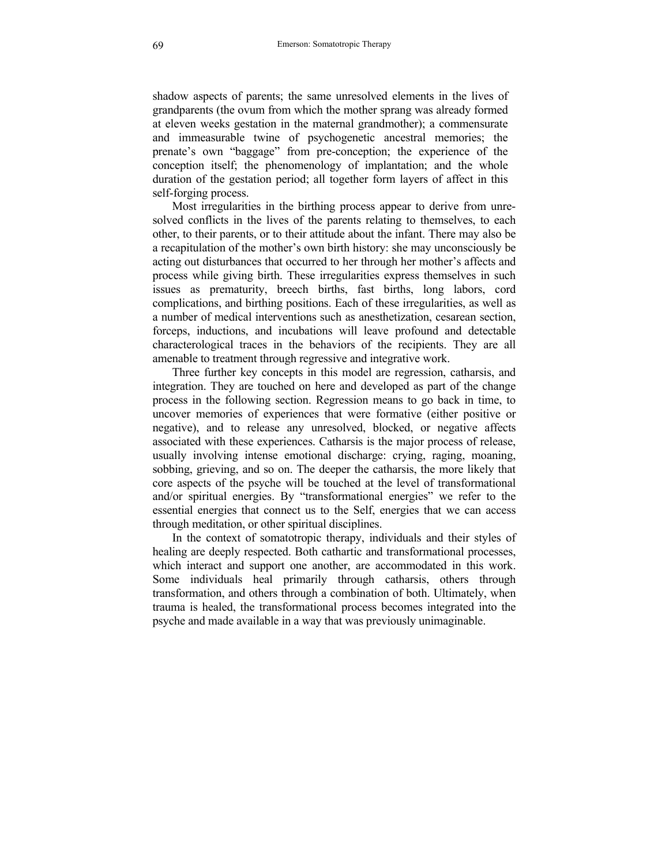shadow aspects of parents; the same unresolved elements in the lives of grandparents (the ovum from which the mother sprang was already formed at eleven weeks gestation in the maternal grandmother); a commensurate and immeasurable twine of psychogenetic ancestral memories; the prenate's own "baggage" from pre-conception; the experience of the conception itself; the phenomenology of implantation; and the whole duration of the gestation period; all together form layers of affect in this self-forging process.

Most irregularities in the birthing process appear to derive from unresolved conflicts in the lives of the parents relating to themselves, to each other, to their parents, or to their attitude about the infant. There may also be a recapitulation of the mother's own birth history: she may unconsciously be acting out disturbances that occurred to her through her mother's affects and process while giving birth. These irregularities express themselves in such issues as prematurity, breech births, fast births, long labors, cord complications, and birthing positions. Each of these irregularities, as well as a number of medical interventions such as anesthetization, cesarean section, forceps, inductions, and incubations will leave profound and detectable characterological traces in the behaviors of the recipients. They are all amenable to treatment through regressive and integrative work.

Three further key concepts in this model are regression, catharsis, and integration. They are touched on here and developed as part of the change process in the following section. Regression means to go back in time, to uncover memories of experiences that were formative (either positive or negative), and to release any unresolved, blocked, or negative affects associated with these experiences. Catharsis is the major process of release, usually involving intense emotional discharge: crying, raging, moaning, sobbing, grieving, and so on. The deeper the catharsis, the more likely that core aspects of the psyche will be touched at the level of transformational and/or spiritual energies. By "transformational energies" we refer to the essential energies that connect us to the Self, energies that we can access through meditation, or other spiritual disciplines.

In the context of somatotropic therapy, individuals and their styles of healing are deeply respected. Both cathartic and transformational processes, which interact and support one another, are accommodated in this work. Some individuals heal primarily through catharsis, others through transformation, and others through a combination of both. Ultimately, when trauma is healed, the transformational process becomes integrated into the psyche and made available in a way that was previously unimaginable.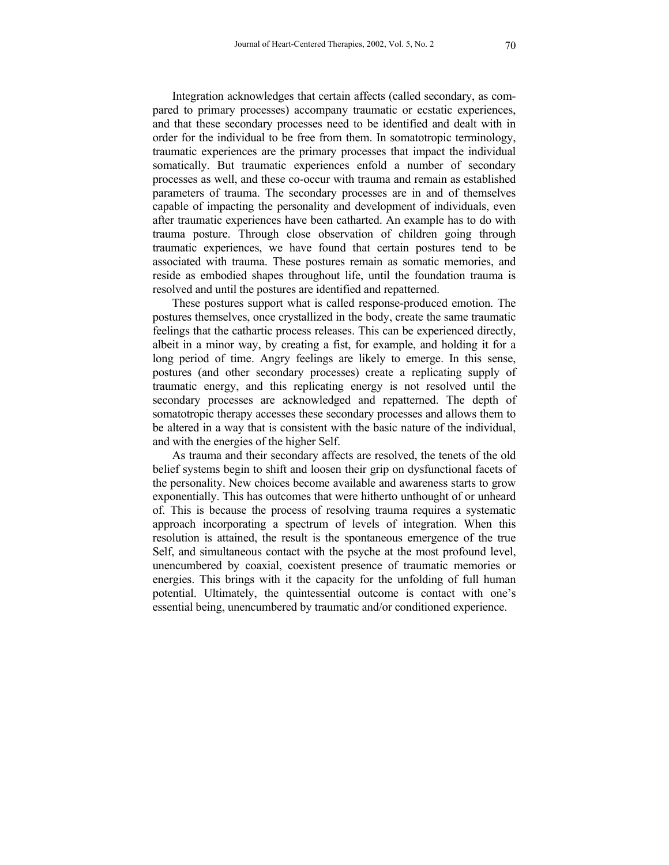Integration acknowledges that certain affects (called secondary, as compared to primary processes) accompany traumatic or ecstatic experiences, and that these secondary processes need to be identified and dealt with in order for the individual to be free from them. In somatotropic terminology, traumatic experiences are the primary processes that impact the individual somatically. But traumatic experiences enfold a number of secondary processes as well, and these co-occur with trauma and remain as established parameters of trauma. The secondary processes are in and of themselves capable of impacting the personality and development of individuals, even after traumatic experiences have been catharted. An example has to do with trauma posture. Through close observation of children going through traumatic experiences, we have found that certain postures tend to be associated with trauma. These postures remain as somatic memories, and reside as embodied shapes throughout life, until the foundation trauma is resolved and until the postures are identified and repatterned.

These postures support what is called response-produced emotion. The postures themselves, once crystallized in the body, create the same traumatic feelings that the cathartic process releases. This can be experienced directly, albeit in a minor way, by creating a fist, for example, and holding it for a long period of time. Angry feelings are likely to emerge. In this sense, postures (and other secondary processes) create a replicating supply of traumatic energy, and this replicating energy is not resolved until the secondary processes are acknowledged and repatterned. The depth of somatotropic therapy accesses these secondary processes and allows them to be altered in a way that is consistent with the basic nature of the individual, and with the energies of the higher Self.

As trauma and their secondary affects are resolved, the tenets of the old belief systems begin to shift and loosen their grip on dysfunctional facets of the personality. New choices become available and awareness starts to grow exponentially. This has outcomes that were hitherto unthought of or unheard of. This is because the process of resolving trauma requires a systematic approach incorporating a spectrum of levels of integration. When this resolution is attained, the result is the spontaneous emergence of the true Self, and simultaneous contact with the psyche at the most profound level, unencumbered by coaxial, coexistent presence of traumatic memories or energies. This brings with it the capacity for the unfolding of full human potential. Ultimately, the quintessential outcome is contact with one's essential being, unencumbered by traumatic and/or conditioned experience.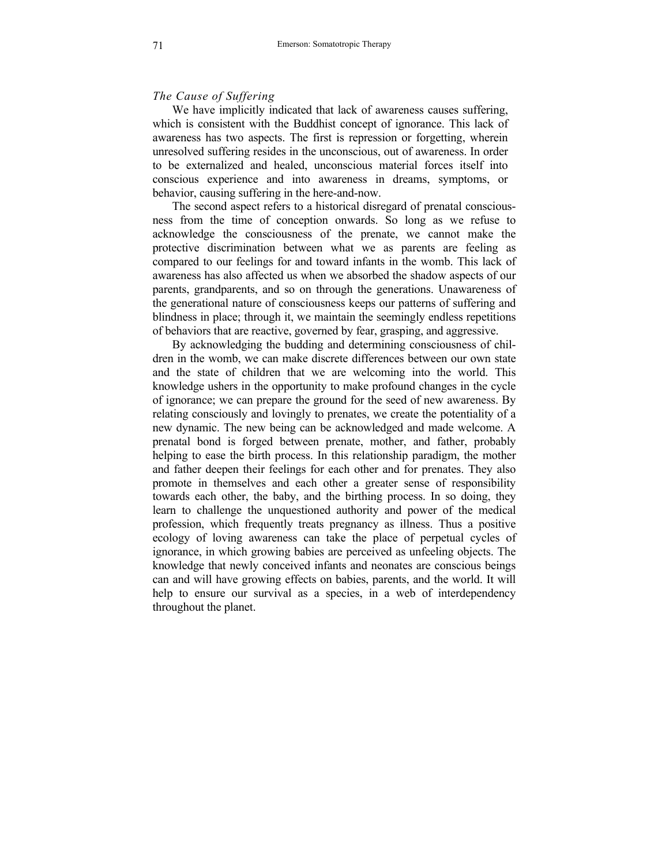## *The Cause of Suffering*

We have implicitly indicated that lack of awareness causes suffering, which is consistent with the Buddhist concept of ignorance. This lack of awareness has two aspects. The first is repression or forgetting, wherein unresolved suffering resides in the unconscious, out of awareness. In order to be externalized and healed, unconscious material forces itself into conscious experience and into awareness in dreams, symptoms, or behavior, causing suffering in the here-and-now.

The second aspect refers to a historical disregard of prenatal consciousness from the time of conception onwards. So long as we refuse to acknowledge the consciousness of the prenate, we cannot make the protective discrimination between what we as parents are feeling as compared to our feelings for and toward infants in the womb. This lack of awareness has also affected us when we absorbed the shadow aspects of our parents, grandparents, and so on through the generations. Unawareness of the generational nature of consciousness keeps our patterns of suffering and blindness in place; through it, we maintain the seemingly endless repetitions of behaviors that are reactive, governed by fear, grasping, and aggressive.

By acknowledging the budding and determining consciousness of children in the womb, we can make discrete differences between our own state and the state of children that we are welcoming into the world. This knowledge ushers in the opportunity to make profound changes in the cycle of ignorance; we can prepare the ground for the seed of new awareness. By relating consciously and lovingly to prenates, we create the potentiality of a new dynamic. The new being can be acknowledged and made welcome. A prenatal bond is forged between prenate, mother, and father, probably helping to ease the birth process. In this relationship paradigm, the mother and father deepen their feelings for each other and for prenates. They also promote in themselves and each other a greater sense of responsibility towards each other, the baby, and the birthing process. In so doing, they learn to challenge the unquestioned authority and power of the medical profession, which frequently treats pregnancy as illness. Thus a positive ecology of loving awareness can take the place of perpetual cycles of ignorance, in which growing babies are perceived as unfeeling objects. The knowledge that newly conceived infants and neonates are conscious beings can and will have growing effects on babies, parents, and the world. It will help to ensure our survival as a species, in a web of interdependency throughout the planet.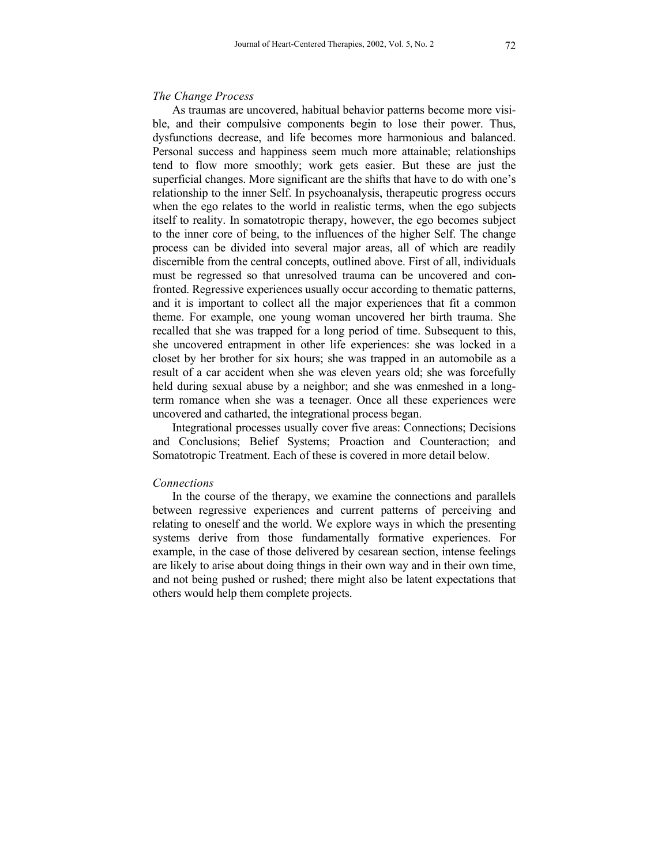## *The Change Process*

As traumas are uncovered, habitual behavior patterns become more visible, and their compulsive components begin to lose their power. Thus, dysfunctions decrease, and life becomes more harmonious and balanced. Personal success and happiness seem much more attainable; relationships tend to flow more smoothly; work gets easier. But these are just the superficial changes. More significant are the shifts that have to do with one's relationship to the inner Self. In psychoanalysis, therapeutic progress occurs when the ego relates to the world in realistic terms, when the ego subjects itself to reality. In somatotropic therapy, however, the ego becomes subject to the inner core of being, to the influences of the higher Self. The change process can be divided into several major areas, all of which are readily discernible from the central concepts, outlined above. First of all, individuals must be regressed so that unresolved trauma can be uncovered and confronted. Regressive experiences usually occur according to thematic patterns, and it is important to collect all the major experiences that fit a common theme. For example, one young woman uncovered her birth trauma. She recalled that she was trapped for a long period of time. Subsequent to this, she uncovered entrapment in other life experiences: she was locked in a closet by her brother for six hours; she was trapped in an automobile as a result of a car accident when she was eleven years old; she was forcefully held during sexual abuse by a neighbor; and she was enmeshed in a longterm romance when she was a teenager. Once all these experiences were uncovered and catharted, the integrational process began.

Integrational processes usually cover five areas: Connections; Decisions and Conclusions; Belief Systems; Proaction and Counteraction; and Somatotropic Treatment. Each of these is covered in more detail below.

## *Connections*

In the course of the therapy, we examine the connections and parallels between regressive experiences and current patterns of perceiving and relating to oneself and the world. We explore ways in which the presenting systems derive from those fundamentally formative experiences. For example, in the case of those delivered by cesarean section, intense feelings are likely to arise about doing things in their own way and in their own time, and not being pushed or rushed; there might also be latent expectations that others would help them complete projects.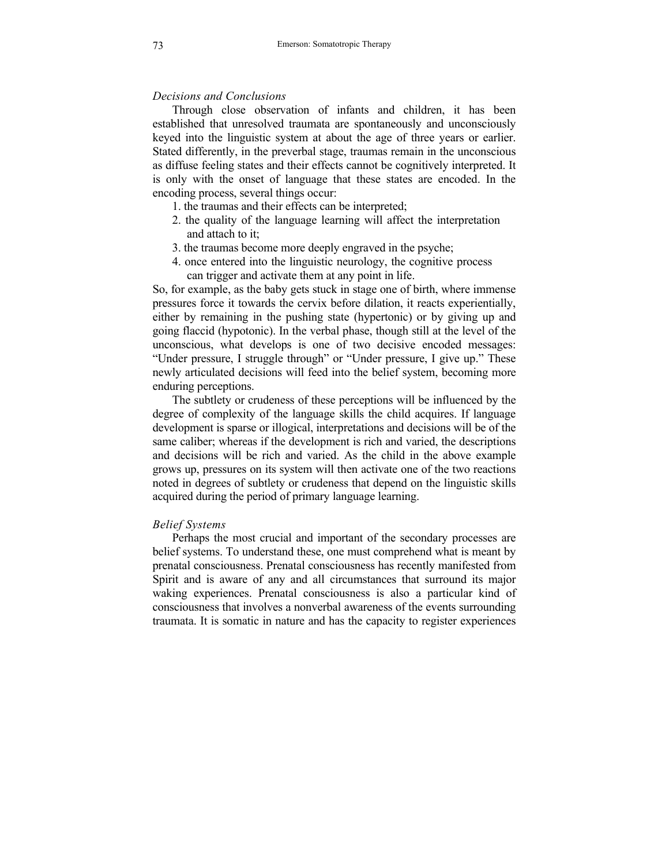#### *Decisions and Conclusions*

Through close observation of infants and children, it has been established that unresolved traumata are spontaneously and unconsciously keyed into the linguistic system at about the age of three years or earlier. Stated differently, in the preverbal stage, traumas remain in the unconscious as diffuse feeling states and their effects cannot be cognitively interpreted. It is only with the onset of language that these states are encoded. In the encoding process, several things occur:

1. the traumas and their effects can be interpreted;

- 2. the quality of the language learning will affect the interpretation and attach to it;
- 3. the traumas become more deeply engraved in the psyche;
- 4. once entered into the linguistic neurology, the cognitive process can trigger and activate them at any point in life.

So, for example, as the baby gets stuck in stage one of birth, where immense pressures force it towards the cervix before dilation, it reacts experientially, either by remaining in the pushing state (hypertonic) or by giving up and going flaccid (hypotonic). In the verbal phase, though still at the level of the unconscious, what develops is one of two decisive encoded messages: "Under pressure, I struggle through" or "Under pressure, I give up." These newly articulated decisions will feed into the belief system, becoming more enduring perceptions.

The subtlety or crudeness of these perceptions will be influenced by the degree of complexity of the language skills the child acquires. If language development is sparse or illogical, interpretations and decisions will be of the same caliber; whereas if the development is rich and varied, the descriptions and decisions will be rich and varied. As the child in the above example grows up, pressures on its system will then activate one of the two reactions noted in degrees of subtlety or crudeness that depend on the linguistic skills acquired during the period of primary language learning.

#### *Belief Systems*

Perhaps the most crucial and important of the secondary processes are belief systems. To understand these, one must comprehend what is meant by prenatal consciousness. Prenatal consciousness has recently manifested from Spirit and is aware of any and all circumstances that surround its major waking experiences. Prenatal consciousness is also a particular kind of consciousness that involves a nonverbal awareness of the events surrounding traumata. It is somatic in nature and has the capacity to register experiences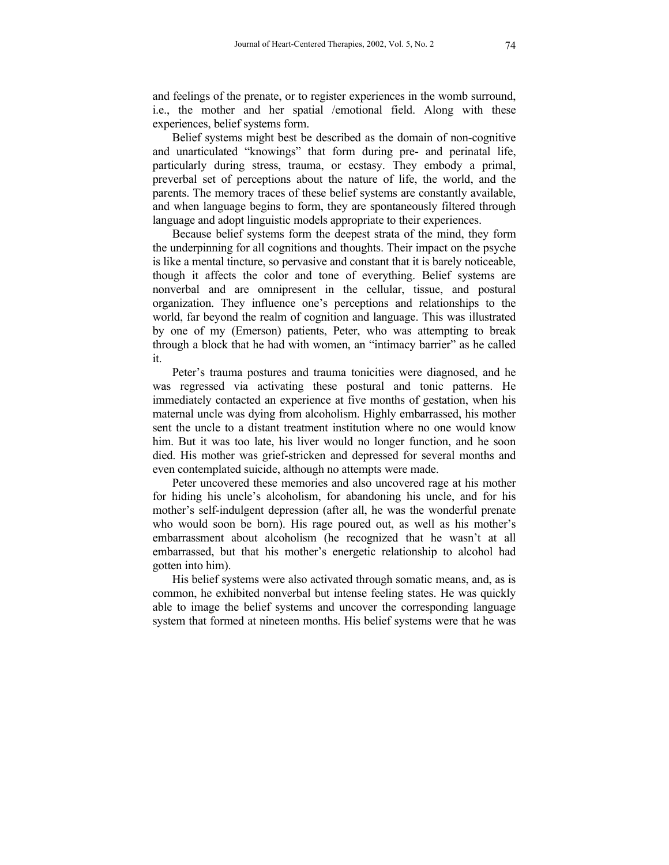and feelings of the prenate, or to register experiences in the womb surround, i.e., the mother and her spatial /emotional field. Along with these experiences, belief systems form.

Belief systems might best be described as the domain of non-cognitive and unarticulated "knowings" that form during pre- and perinatal life, particularly during stress, trauma, or ecstasy. They embody a primal, preverbal set of perceptions about the nature of life, the world, and the parents. The memory traces of these belief systems are constantly available, and when language begins to form, they are spontaneously filtered through language and adopt linguistic models appropriate to their experiences.

Because belief systems form the deepest strata of the mind, they form the underpinning for all cognitions and thoughts. Their impact on the psyche is like a mental tincture, so pervasive and constant that it is barely noticeable, though it affects the color and tone of everything. Belief systems are nonverbal and are omnipresent in the cellular, tissue, and postural organization. They influence one's perceptions and relationships to the world, far beyond the realm of cognition and language. This was illustrated by one of my (Emerson) patients, Peter, who was attempting to break through a block that he had with women, an "intimacy barrier" as he called it.

Peter's trauma postures and trauma tonicities were diagnosed, and he was regressed via activating these postural and tonic patterns. He immediately contacted an experience at five months of gestation, when his maternal uncle was dying from alcoholism. Highly embarrassed, his mother sent the uncle to a distant treatment institution where no one would know him. But it was too late, his liver would no longer function, and he soon died. His mother was grief-stricken and depressed for several months and even contemplated suicide, although no attempts were made.

Peter uncovered these memories and also uncovered rage at his mother for hiding his uncle's alcoholism, for abandoning his uncle, and for his mother's self-indulgent depression (after all, he was the wonderful prenate who would soon be born). His rage poured out, as well as his mother's embarrassment about alcoholism (he recognized that he wasn't at all embarrassed, but that his mother's energetic relationship to alcohol had gotten into him).

His belief systems were also activated through somatic means, and, as is common, he exhibited nonverbal but intense feeling states. He was quickly able to image the belief systems and uncover the corresponding language system that formed at nineteen months. His belief systems were that he was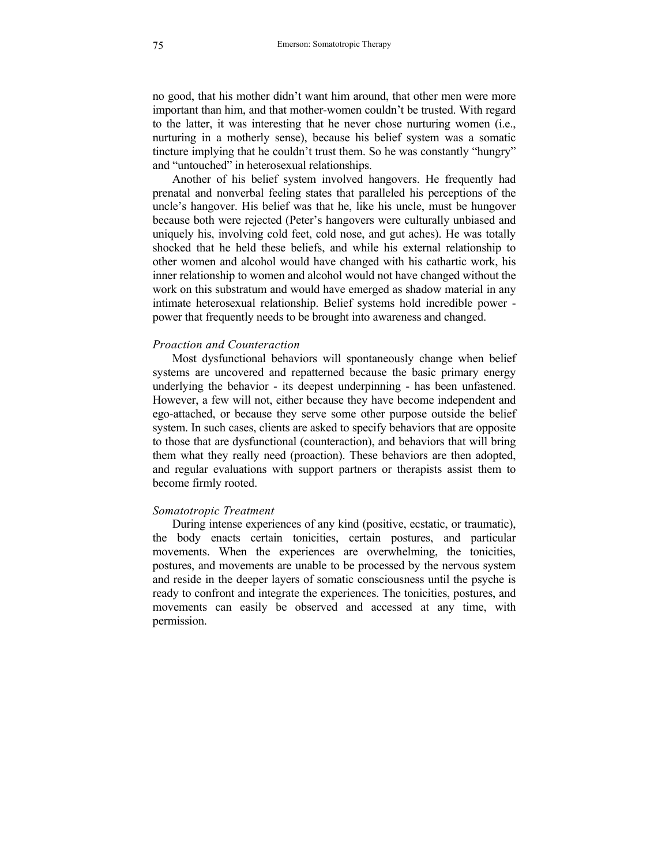no good, that his mother didn't want him around, that other men were more important than him, and that mother-women couldn't be trusted. With regard to the latter, it was interesting that he never chose nurturing women (i.e., nurturing in a motherly sense), because his belief system was a somatic tincture implying that he couldn't trust them. So he was constantly "hungry" and "untouched" in heterosexual relationships.

Another of his belief system involved hangovers. He frequently had prenatal and nonverbal feeling states that paralleled his perceptions of the uncle's hangover. His belief was that he, like his uncle, must be hungover because both were rejected (Peter's hangovers were culturally unbiased and uniquely his, involving cold feet, cold nose, and gut aches). He was totally shocked that he held these beliefs, and while his external relationship to other women and alcohol would have changed with his cathartic work, his inner relationship to women and alcohol would not have changed without the work on this substratum and would have emerged as shadow material in any intimate heterosexual relationship. Belief systems hold incredible power power that frequently needs to be brought into awareness and changed.

#### *Proaction and Counteraction*

Most dysfunctional behaviors will spontaneously change when belief systems are uncovered and repatterned because the basic primary energy underlying the behavior - its deepest underpinning - has been unfastened. However, a few will not, either because they have become independent and ego-attached, or because they serve some other purpose outside the belief system. In such cases, clients are asked to specify behaviors that are opposite to those that are dysfunctional (counteraction), and behaviors that will bring them what they really need (proaction). These behaviors are then adopted, and regular evaluations with support partners or therapists assist them to become firmly rooted.

#### *Somatotropic Treatment*

During intense experiences of any kind (positive, ecstatic, or traumatic), the body enacts certain tonicities, certain postures, and particular movements. When the experiences are overwhelming, the tonicities, postures, and movements are unable to be processed by the nervous system and reside in the deeper layers of somatic consciousness until the psyche is ready to confront and integrate the experiences. The tonicities, postures, and movements can easily be observed and accessed at any time, with permission.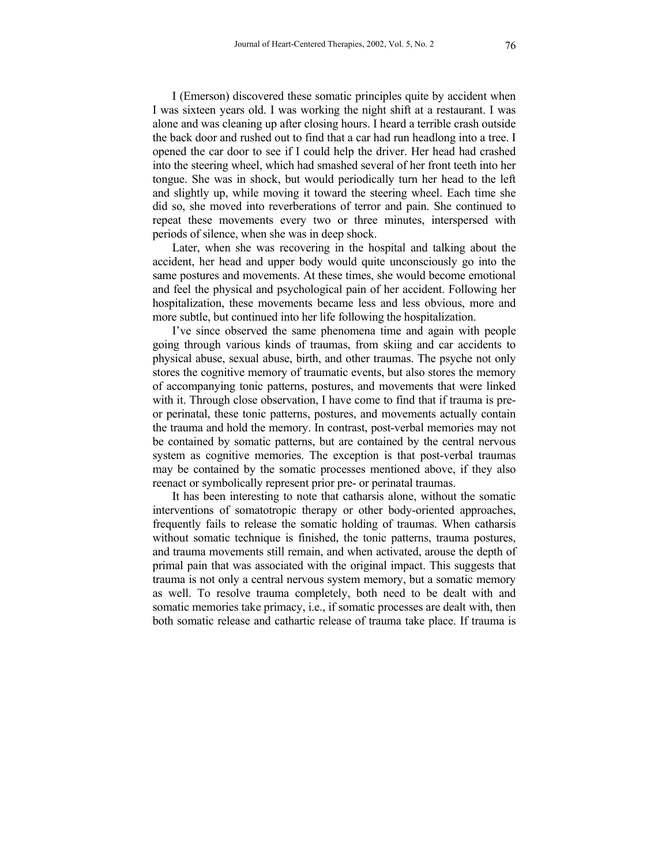I (Emerson) discovered these somatic principles quite by accident when I was sixteen years old. I was working the night shift at a restaurant. I was alone and was cleaning up after closing hours. I heard a terrible crash outside the back door and rushed out to find that a car had run headlong into a tree. I opened the car door to see if I could help the driver. Her head had crashed into the steering wheel, which had smashed several of her front teeth into her tongue. She was in shock, but would periodically turn her head to the left and slightly up, while moving it toward the steering wheel. Each time she did so, she moved into reverberations of terror and pain. She continued to repeat these movements every two or three minutes, interspersed with periods of silence, when she was in deep shock.

Later, when she was recovering in the hospital and talking about the accident, her head and upper body would quite unconsciously go into the same postures and movements. At these times, she would become emotional and feel the physical and psychological pain of her accident. Following her hospitalization, these movements became less and less obvious, more and more subtle, but continued into her life following the hospitalization.

I've since observed the same phenomena time and again with people going through various kinds of traumas, from skiing and car accidents to physical abuse, sexual abuse, birth, and other traumas. The psyche not only stores the cognitive memory of traumatic events, but also stores the memory of accompanying tonic patterns, postures, and movements that were linked with it. Through close observation, I have come to find that if trauma is preor perinatal, these tonic patterns, postures, and movements actually contain the trauma and hold the memory. In contrast, post-verbal memories may not be contained by somatic patterns, but are contained by the central nervous system as cognitive memories. The exception is that post-verbal traumas may be contained by the somatic processes mentioned above, if they also reenact or symbolically represent prior pre- or perinatal traumas.

It has been interesting to note that catharsis alone, without the somatic interventions of somatotropic therapy or other body-oriented approaches, frequently fails to release the somatic holding of traumas. When catharsis without somatic technique is finished, the tonic patterns, trauma postures, and trauma movements still remain, and when activated, arouse the depth of primal pain that was associated with the original impact. This suggests that trauma is not only a central nervous system memory, but a somatic memory as well. To resolve trauma completely, both need to be dealt with and somatic memories take primacy, i.e., if somatic processes are dealt with, then both somatic release and cathartic release of trauma take place. If trauma is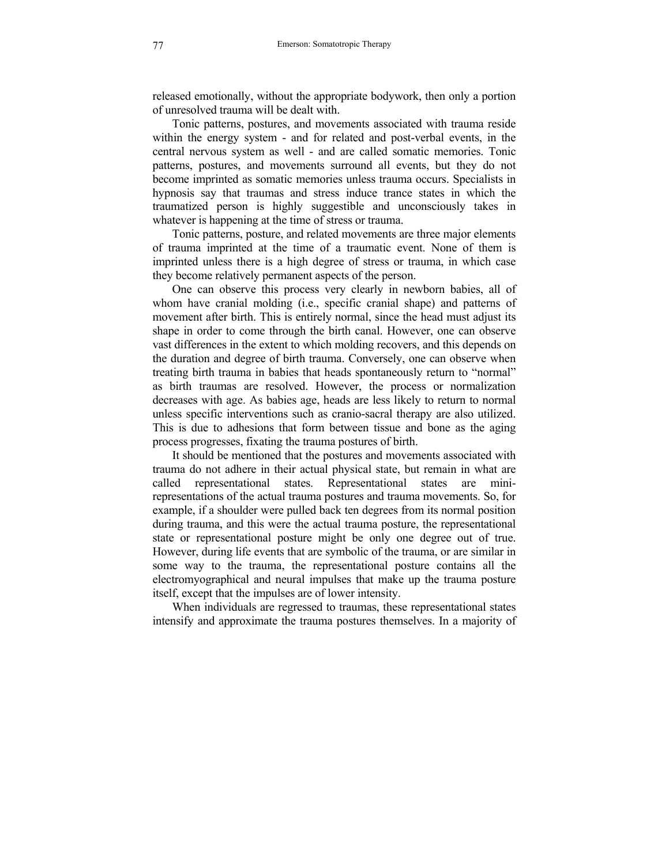released emotionally, without the appropriate bodywork, then only a portion of unresolved trauma will be dealt with.

Tonic patterns, postures, and movements associated with trauma reside within the energy system - and for related and post-verbal events, in the central nervous system as well - and are called somatic memories. Tonic patterns, postures, and movements surround all events, but they do not become imprinted as somatic memories unless trauma occurs. Specialists in hypnosis say that traumas and stress induce trance states in which the traumatized person is highly suggestible and unconsciously takes in whatever is happening at the time of stress or trauma.

Tonic patterns, posture, and related movements are three major elements of trauma imprinted at the time of a traumatic event. None of them is imprinted unless there is a high degree of stress or trauma, in which case they become relatively permanent aspects of the person.

One can observe this process very clearly in newborn babies, all of whom have cranial molding (i.e., specific cranial shape) and patterns of movement after birth. This is entirely normal, since the head must adjust its shape in order to come through the birth canal. However, one can observe vast differences in the extent to which molding recovers, and this depends on the duration and degree of birth trauma. Conversely, one can observe when treating birth trauma in babies that heads spontaneously return to "normal" as birth traumas are resolved. However, the process or normalization decreases with age. As babies age, heads are less likely to return to normal unless specific interventions such as cranio-sacral therapy are also utilized. This is due to adhesions that form between tissue and bone as the aging process progresses, fixating the trauma postures of birth.

It should be mentioned that the postures and movements associated with trauma do not adhere in their actual physical state, but remain in what are called representational states. Representational states are minirepresentations of the actual trauma postures and trauma movements. So, for example, if a shoulder were pulled back ten degrees from its normal position during trauma, and this were the actual trauma posture, the representational state or representational posture might be only one degree out of true. However, during life events that are symbolic of the trauma, or are similar in some way to the trauma, the representational posture contains all the electromyographical and neural impulses that make up the trauma posture itself, except that the impulses are of lower intensity.

When individuals are regressed to traumas, these representational states intensify and approximate the trauma postures themselves. In a majority of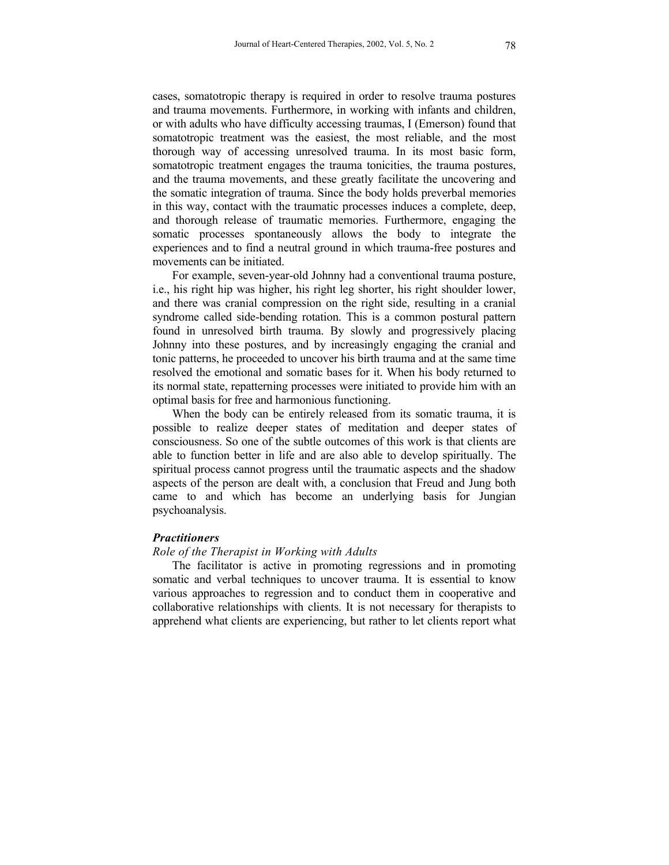cases, somatotropic therapy is required in order to resolve trauma postures and trauma movements. Furthermore, in working with infants and children, or with adults who have difficulty accessing traumas, I (Emerson) found that somatotropic treatment was the easiest, the most reliable, and the most thorough way of accessing unresolved trauma. In its most basic form, somatotropic treatment engages the trauma tonicities, the trauma postures, and the trauma movements, and these greatly facilitate the uncovering and the somatic integration of trauma. Since the body holds preverbal memories in this way, contact with the traumatic processes induces a complete, deep, and thorough release of traumatic memories. Furthermore, engaging the somatic processes spontaneously allows the body to integrate the experiences and to find a neutral ground in which trauma-free postures and movements can be initiated.

For example, seven-year-old Johnny had a conventional trauma posture, i.e., his right hip was higher, his right leg shorter, his right shoulder lower, and there was cranial compression on the right side, resulting in a cranial syndrome called side-bending rotation. This is a common postural pattern found in unresolved birth trauma. By slowly and progressively placing Johnny into these postures, and by increasingly engaging the cranial and tonic patterns, he proceeded to uncover his birth trauma and at the same time resolved the emotional and somatic bases for it. When his body returned to its normal state, repatterning processes were initiated to provide him with an optimal basis for free and harmonious functioning.

When the body can be entirely released from its somatic trauma, it is possible to realize deeper states of meditation and deeper states of consciousness. So one of the subtle outcomes of this work is that clients are able to function better in life and are also able to develop spiritually. The spiritual process cannot progress until the traumatic aspects and the shadow aspects of the person are dealt with, a conclusion that Freud and Jung both came to and which has become an underlying basis for Jungian psychoanalysis.

#### *Practitioners*

#### *Role of the Therapist in Working with Adults*

The facilitator is active in promoting regressions and in promoting somatic and verbal techniques to uncover trauma. It is essential to know various approaches to regression and to conduct them in cooperative and collaborative relationships with clients. It is not necessary for therapists to apprehend what clients are experiencing, but rather to let clients report what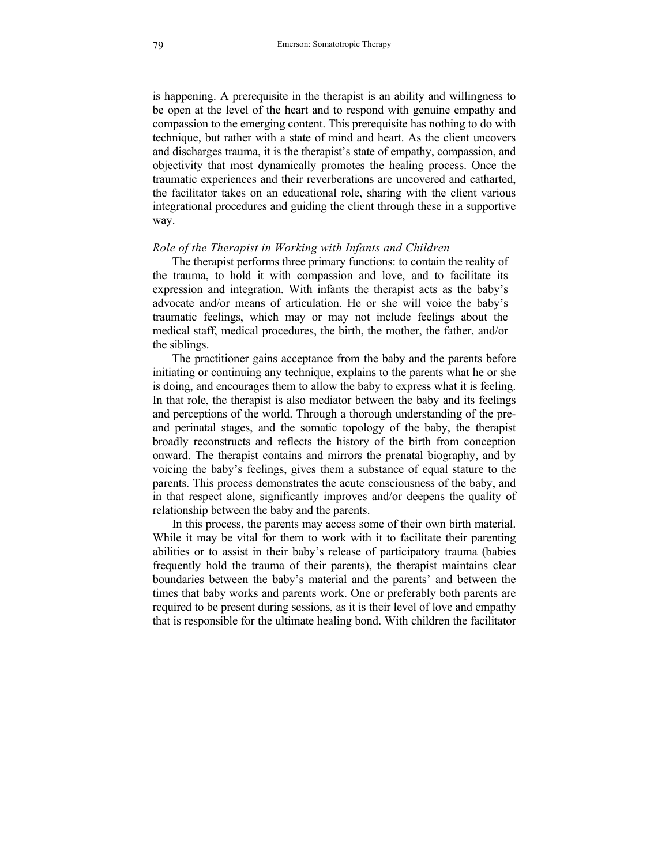is happening. A prerequisite in the therapist is an ability and willingness to be open at the level of the heart and to respond with genuine empathy and compassion to the emerging content. This prerequisite has nothing to do with technique, but rather with a state of mind and heart. As the client uncovers and discharges trauma, it is the therapist's state of empathy, compassion, and objectivity that most dynamically promotes the healing process. Once the traumatic experiences and their reverberations are uncovered and catharted, the facilitator takes on an educational role, sharing with the client various integrational procedures and guiding the client through these in a supportive way.

#### *Role of the Therapist in Working with Infants and Children*

The therapist performs three primary functions: to contain the reality of the trauma, to hold it with compassion and love, and to facilitate its expression and integration. With infants the therapist acts as the baby's advocate and/or means of articulation. He or she will voice the baby's traumatic feelings, which may or may not include feelings about the medical staff, medical procedures, the birth, the mother, the father, and/or the siblings.

The practitioner gains acceptance from the baby and the parents before initiating or continuing any technique, explains to the parents what he or she is doing, and encourages them to allow the baby to express what it is feeling. In that role, the therapist is also mediator between the baby and its feelings and perceptions of the world. Through a thorough understanding of the preand perinatal stages, and the somatic topology of the baby, the therapist broadly reconstructs and reflects the history of the birth from conception onward. The therapist contains and mirrors the prenatal biography, and by voicing the baby's feelings, gives them a substance of equal stature to the parents. This process demonstrates the acute consciousness of the baby, and in that respect alone, significantly improves and/or deepens the quality of relationship between the baby and the parents.

In this process, the parents may access some of their own birth material. While it may be vital for them to work with it to facilitate their parenting abilities or to assist in their baby's release of participatory trauma (babies frequently hold the trauma of their parents), the therapist maintains clear boundaries between the baby's material and the parents' and between the times that baby works and parents work. One or preferably both parents are required to be present during sessions, as it is their level of love and empathy that is responsible for the ultimate healing bond. With children the facilitator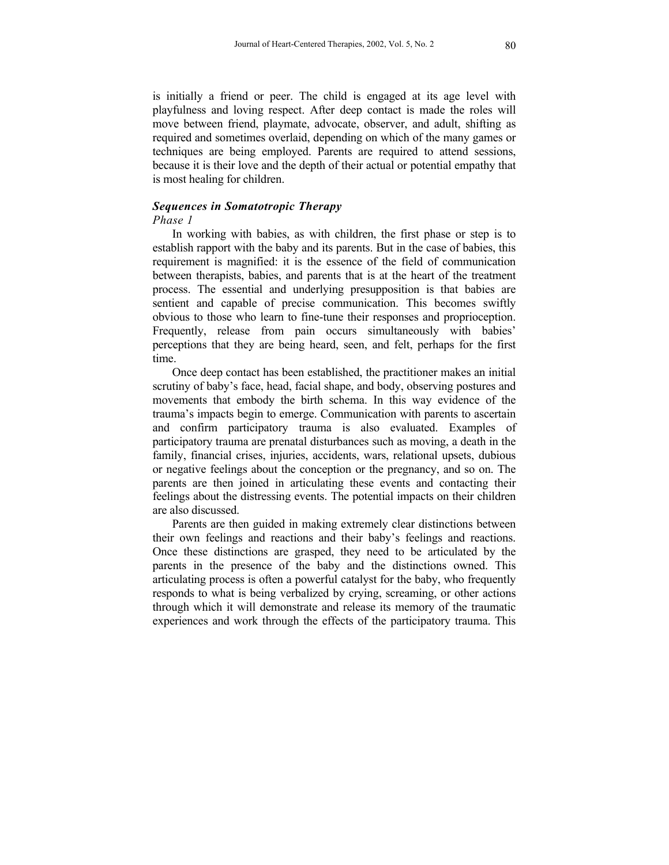is initially a friend or peer. The child is engaged at its age level with playfulness and loving respect. After deep contact is made the roles will move between friend, playmate, advocate, observer, and adult, shifting as required and sometimes overlaid, depending on which of the many games or techniques are being employed. Parents are required to attend sessions, because it is their love and the depth of their actual or potential empathy that is most healing for children.

# *Sequences in Somatotropic Therapy*

#### *Phase 1*

In working with babies, as with children, the first phase or step is to establish rapport with the baby and its parents. But in the case of babies, this requirement is magnified: it is the essence of the field of communication between therapists, babies, and parents that is at the heart of the treatment process. The essential and underlying presupposition is that babies are sentient and capable of precise communication. This becomes swiftly obvious to those who learn to fine-tune their responses and proprioception. Frequently, release from pain occurs simultaneously with babies' perceptions that they are being heard, seen, and felt, perhaps for the first time.

Once deep contact has been established, the practitioner makes an initial scrutiny of baby's face, head, facial shape, and body, observing postures and movements that embody the birth schema. In this way evidence of the trauma's impacts begin to emerge. Communication with parents to ascertain and confirm participatory trauma is also evaluated. Examples of participatory trauma are prenatal disturbances such as moving, a death in the family, financial crises, injuries, accidents, wars, relational upsets, dubious or negative feelings about the conception or the pregnancy, and so on. The parents are then joined in articulating these events and contacting their feelings about the distressing events. The potential impacts on their children are also discussed.

Parents are then guided in making extremely clear distinctions between their own feelings and reactions and their baby's feelings and reactions. Once these distinctions are grasped, they need to be articulated by the parents in the presence of the baby and the distinctions owned. This articulating process is often a powerful catalyst for the baby, who frequently responds to what is being verbalized by crying, screaming, or other actions through which it will demonstrate and release its memory of the traumatic experiences and work through the effects of the participatory trauma. This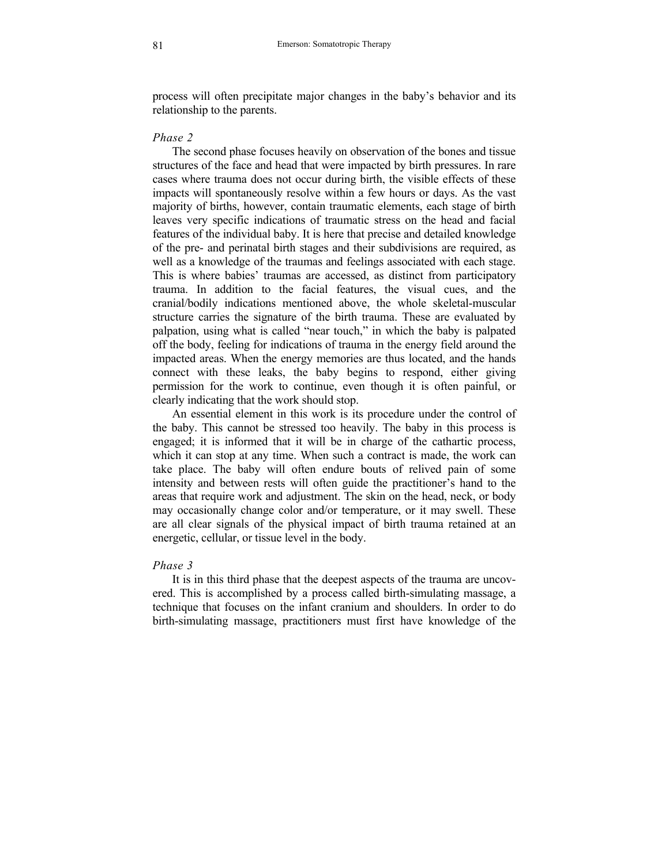process will often precipitate major changes in the baby's behavior and its relationship to the parents.

## *Phase 2*

The second phase focuses heavily on observation of the bones and tissue structures of the face and head that were impacted by birth pressures. In rare cases where trauma does not occur during birth, the visible effects of these impacts will spontaneously resolve within a few hours or days. As the vast majority of births, however, contain traumatic elements, each stage of birth leaves very specific indications of traumatic stress on the head and facial features of the individual baby. It is here that precise and detailed knowledge of the pre- and perinatal birth stages and their subdivisions are required, as well as a knowledge of the traumas and feelings associated with each stage. This is where babies' traumas are accessed, as distinct from participatory trauma. In addition to the facial features, the visual cues, and the cranial/bodily indications mentioned above, the whole skeletal-muscular structure carries the signature of the birth trauma. These are evaluated by palpation, using what is called "near touch," in which the baby is palpated off the body, feeling for indications of trauma in the energy field around the impacted areas. When the energy memories are thus located, and the hands connect with these leaks, the baby begins to respond, either giving permission for the work to continue, even though it is often painful, or clearly indicating that the work should stop.

An essential element in this work is its procedure under the control of the baby. This cannot be stressed too heavily. The baby in this process is engaged; it is informed that it will be in charge of the cathartic process, which it can stop at any time. When such a contract is made, the work can take place. The baby will often endure bouts of relived pain of some intensity and between rests will often guide the practitioner's hand to the areas that require work and adjustment. The skin on the head, neck, or body may occasionally change color and/or temperature, or it may swell. These are all clear signals of the physical impact of birth trauma retained at an energetic, cellular, or tissue level in the body.

## *Phase 3*

It is in this third phase that the deepest aspects of the trauma are uncovered. This is accomplished by a process called birth-simulating massage, a technique that focuses on the infant cranium and shoulders. In order to do birth-simulating massage, practitioners must first have knowledge of the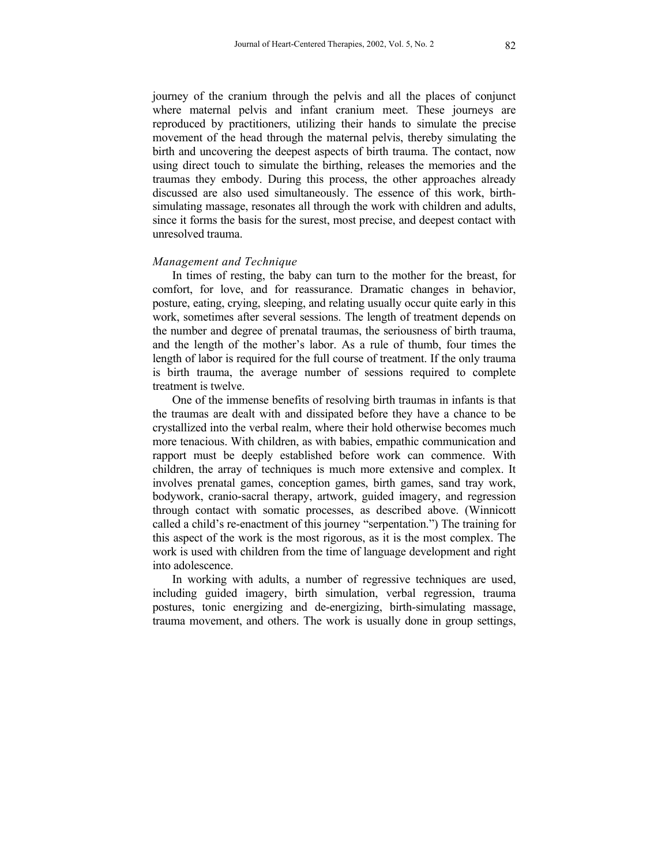journey of the cranium through the pelvis and all the places of conjunct where maternal pelvis and infant cranium meet. These journeys are reproduced by practitioners, utilizing their hands to simulate the precise movement of the head through the maternal pelvis, thereby simulating the birth and uncovering the deepest aspects of birth trauma. The contact, now using direct touch to simulate the birthing, releases the memories and the traumas they embody. During this process, the other approaches already discussed are also used simultaneously. The essence of this work, birthsimulating massage, resonates all through the work with children and adults, since it forms the basis for the surest, most precise, and deepest contact with unresolved trauma.

#### *Management and Technique*

In times of resting, the baby can turn to the mother for the breast, for comfort, for love, and for reassurance. Dramatic changes in behavior, posture, eating, crying, sleeping, and relating usually occur quite early in this work, sometimes after several sessions. The length of treatment depends on the number and degree of prenatal traumas, the seriousness of birth trauma, and the length of the mother's labor. As a rule of thumb, four times the length of labor is required for the full course of treatment. If the only trauma is birth trauma, the average number of sessions required to complete treatment is twelve.

One of the immense benefits of resolving birth traumas in infants is that the traumas are dealt with and dissipated before they have a chance to be crystallized into the verbal realm, where their hold otherwise becomes much more tenacious. With children, as with babies, empathic communication and rapport must be deeply established before work can commence. With children, the array of techniques is much more extensive and complex. It involves prenatal games, conception games, birth games, sand tray work, bodywork, cranio-sacral therapy, artwork, guided imagery, and regression through contact with somatic processes, as described above. (Winnicott called a child's re-enactment of this journey "serpentation.") The training for this aspect of the work is the most rigorous, as it is the most complex. The work is used with children from the time of language development and right into adolescence.

In working with adults, a number of regressive techniques are used, including guided imagery, birth simulation, verbal regression, trauma postures, tonic energizing and de-energizing, birth-simulating massage, trauma movement, and others. The work is usually done in group settings,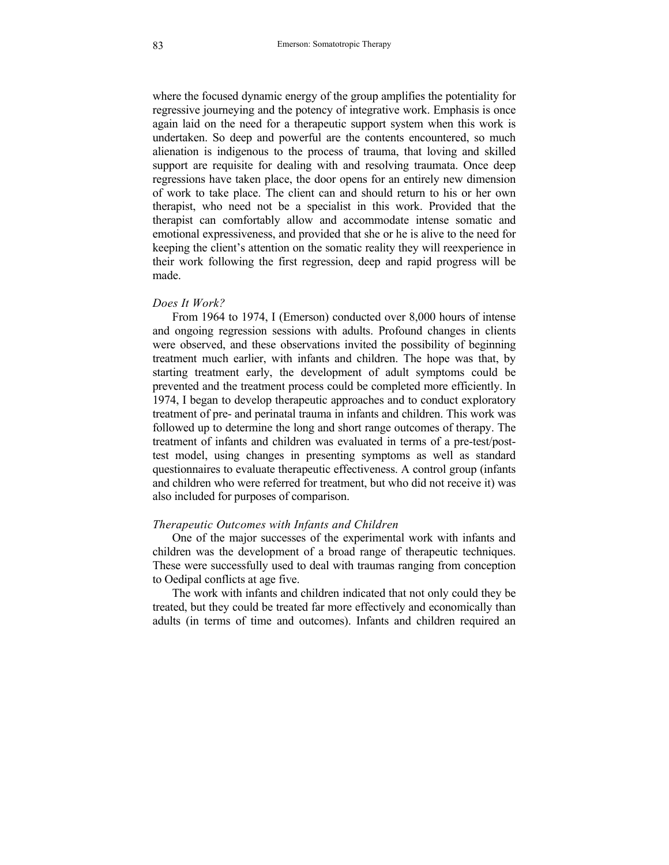where the focused dynamic energy of the group amplifies the potentiality for regressive journeying and the potency of integrative work. Emphasis is once again laid on the need for a therapeutic support system when this work is undertaken. So deep and powerful are the contents encountered, so much alienation is indigenous to the process of trauma, that loving and skilled support are requisite for dealing with and resolving traumata. Once deep regressions have taken place, the door opens for an entirely new dimension of work to take place. The client can and should return to his or her own therapist, who need not be a specialist in this work. Provided that the therapist can comfortably allow and accommodate intense somatic and emotional expressiveness, and provided that she or he is alive to the need for keeping the client's attention on the somatic reality they will reexperience in their work following the first regression, deep and rapid progress will be made.

#### *Does It Work?*

From 1964 to 1974, I (Emerson) conducted over 8,000 hours of intense and ongoing regression sessions with adults. Profound changes in clients were observed, and these observations invited the possibility of beginning treatment much earlier, with infants and children. The hope was that, by starting treatment early, the development of adult symptoms could be prevented and the treatment process could be completed more efficiently. In 1974, I began to develop therapeutic approaches and to conduct exploratory treatment of pre- and perinatal trauma in infants and children. This work was followed up to determine the long and short range outcomes of therapy. The treatment of infants and children was evaluated in terms of a pre-test/posttest model, using changes in presenting symptoms as well as standard questionnaires to evaluate therapeutic effectiveness. A control group (infants and children who were referred for treatment, but who did not receive it) was also included for purposes of comparison.

#### *Therapeutic Outcomes with Infants and Children*

One of the major successes of the experimental work with infants and children was the development of a broad range of therapeutic techniques. These were successfully used to deal with traumas ranging from conception to Oedipal conflicts at age five.

The work with infants and children indicated that not only could they be treated, but they could be treated far more effectively and economically than adults (in terms of time and outcomes). Infants and children required an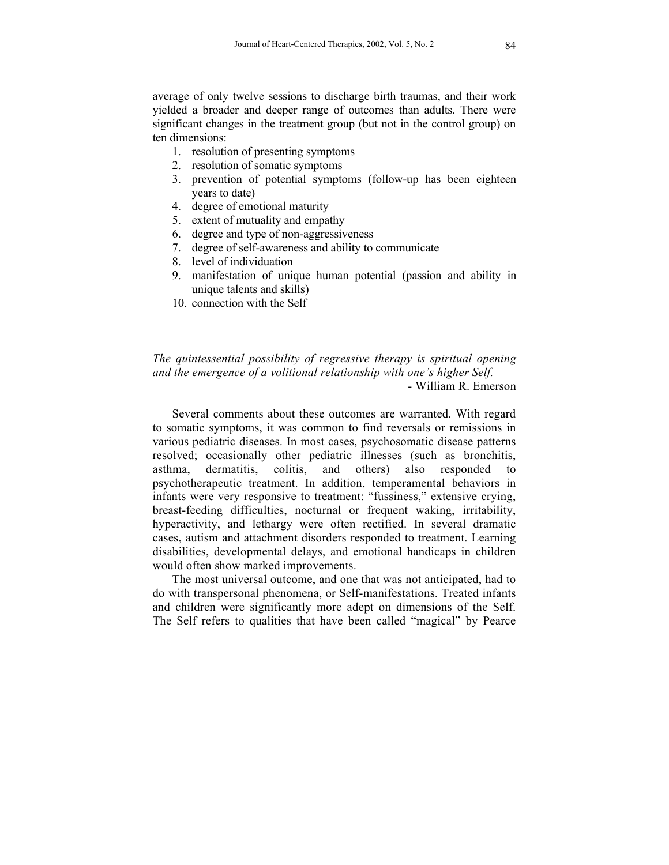average of only twelve sessions to discharge birth traumas, and their work yielded a broader and deeper range of outcomes than adults. There were significant changes in the treatment group (but not in the control group) on ten dimensions:

- 1. resolution of presenting symptoms
- 2. resolution of somatic symptoms
- 3. prevention of potential symptoms (follow-up has been eighteen years to date)
- 4. degree of emotional maturity
- 5. extent of mutuality and empathy
- 6. degree and type of non-aggressiveness
- 7. degree of self-awareness and ability to communicate
- 8. level of individuation
- 9. manifestation of unique human potential (passion and ability in unique talents and skills)
- 10. connection with the Self

*The quintessential possibility of regressive therapy is spiritual opening and the emergence of a volitional relationship with one's higher Self.*  - William R. Emerson

Several comments about these outcomes are warranted. With regard to somatic symptoms, it was common to find reversals or remissions in various pediatric diseases. In most cases, psychosomatic disease patterns resolved; occasionally other pediatric illnesses (such as bronchitis, asthma, dermatitis, colitis, and others) also responded to psychotherapeutic treatment. In addition, temperamental behaviors in infants were very responsive to treatment: "fussiness," extensive crying, breast-feeding difficulties, nocturnal or frequent waking, irritability, hyperactivity, and lethargy were often rectified. In several dramatic cases, autism and attachment disorders responded to treatment. Learning disabilities, developmental delays, and emotional handicaps in children would often show marked improvements.

The most universal outcome, and one that was not anticipated, had to do with transpersonal phenomena, or Self-manifestations. Treated infants and children were significantly more adept on dimensions of the Self. The Self refers to qualities that have been called "magical" by Pearce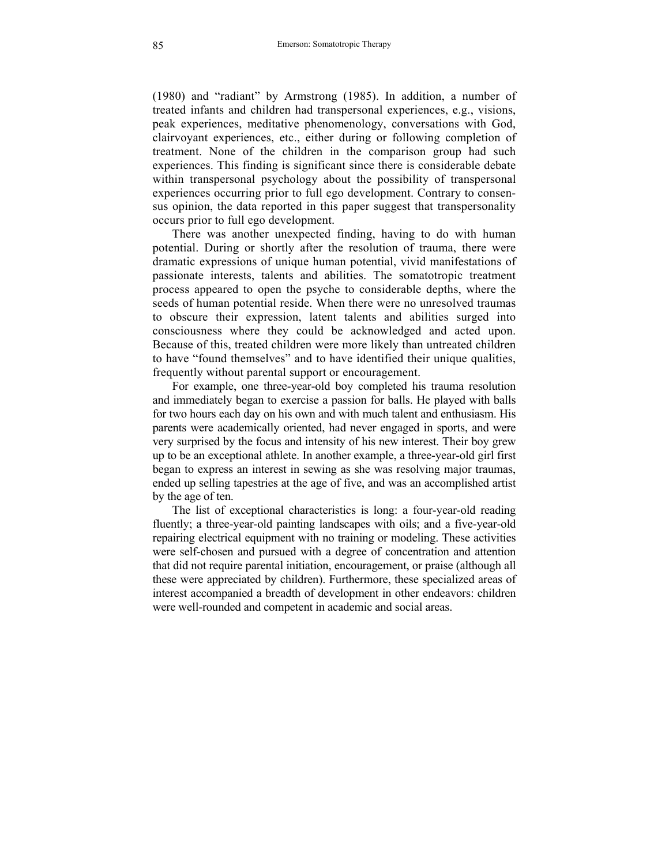(1980) and "radiant" by Armstrong (1985). In addition, a number of treated infants and children had transpersonal experiences, e.g., visions, peak experiences, meditative phenomenology, conversations with God, clairvoyant experiences, etc., either during or following completion of treatment. None of the children in the comparison group had such experiences. This finding is significant since there is considerable debate within transpersonal psychology about the possibility of transpersonal experiences occurring prior to full ego development. Contrary to consensus opinion, the data reported in this paper suggest that transpersonality occurs prior to full ego development.

There was another unexpected finding, having to do with human potential. During or shortly after the resolution of trauma, there were dramatic expressions of unique human potential, vivid manifestations of passionate interests, talents and abilities. The somatotropic treatment process appeared to open the psyche to considerable depths, where the seeds of human potential reside. When there were no unresolved traumas to obscure their expression, latent talents and abilities surged into consciousness where they could be acknowledged and acted upon. Because of this, treated children were more likely than untreated children to have "found themselves" and to have identified their unique qualities, frequently without parental support or encouragement.

For example, one three-year-old boy completed his trauma resolution and immediately began to exercise a passion for balls. He played with balls for two hours each day on his own and with much talent and enthusiasm. His parents were academically oriented, had never engaged in sports, and were very surprised by the focus and intensity of his new interest. Their boy grew up to be an exceptional athlete. In another example, a three-year-old girl first began to express an interest in sewing as she was resolving major traumas, ended up selling tapestries at the age of five, and was an accomplished artist by the age of ten.

The list of exceptional characteristics is long: a four-year-old reading fluently; a three-year-old painting landscapes with oils; and a five-year-old repairing electrical equipment with no training or modeling. These activities were self-chosen and pursued with a degree of concentration and attention that did not require parental initiation, encouragement, or praise (although all these were appreciated by children). Furthermore, these specialized areas of interest accompanied a breadth of development in other endeavors: children were well-rounded and competent in academic and social areas.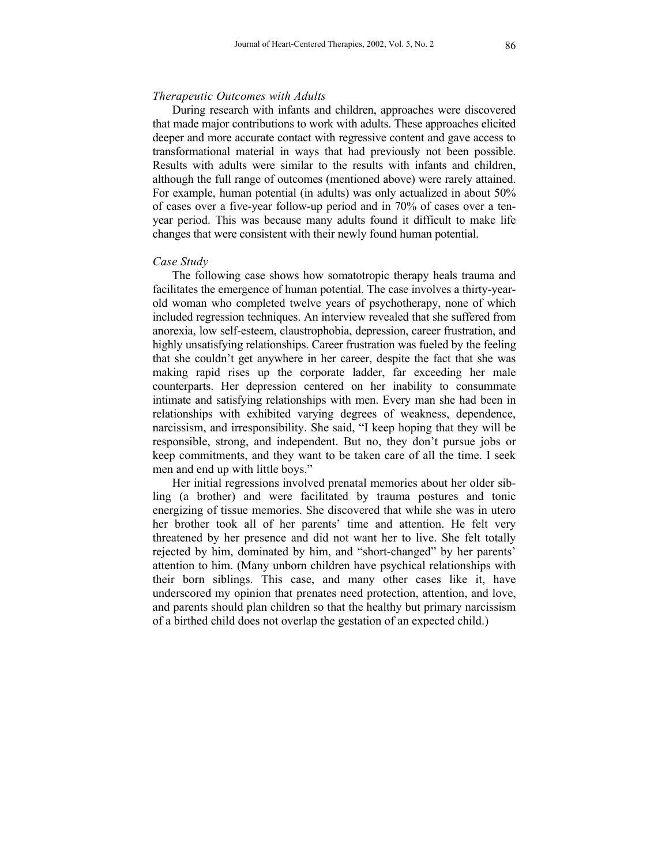## *Therapeutic Outcomes with Adults*

During research with infants and children, approaches were discovered that made major contributions to work with adults. These approaches elicited deeper and more accurate contact with regressive content and gave access to transformational material in ways that had previously not been possible. Results with adults were similar to the results with infants and children, although the full range of outcomes (mentioned above) were rarely attained. For example, human potential (in adults) was only actualized in about 50% of cases over a five-year follow-up period and in 70% of cases over a tenyear period. This was because many adults found it difficult to make life changes that were consistent with their newly found human potential.

#### *Case Study*

The following case shows how somatotropic therapy heals trauma and facilitates the emergence of human potential. The case involves a thirty-yearold woman who completed twelve years of psychotherapy, none of which included regression techniques. An interview revealed that she suffered from anorexia, low self-esteem, claustrophobia, depression, career frustration, and highly unsatisfying relationships. Career frustration was fueled by the feeling that she couldn't get anywhere in her career, despite the fact that she was making rapid rises up the corporate ladder, far exceeding her male counterparts. Her depression centered on her inability to consummate intimate and satisfying relationships with men. Every man she had been in relationships with exhibited varying degrees of weakness, dependence, narcissism, and irresponsibility. She said, "I keep hoping that they will be responsible, strong, and independent. But no, they don't pursue jobs or keep commitments, and they want to be taken care of all the time. I seek men and end up with little boys."

Her initial regressions involved prenatal memories about her older sibling (a brother) and were facilitated by trauma postures and tonic energizing of tissue memories. She discovered that while she was in utero her brother took all of her parents' time and attention. He felt very threatened by her presence and did not want her to live. She felt totally rejected by him, dominated by him, and "short-changed" by her parents' attention to him. (Many unborn children have psychical relationships with their born siblings. This case, and many other cases like it, have underscored my opinion that prenates need protection, attention, and love, and parents should plan children so that the healthy but primary narcissism of a birthed child does not overlap the gestation of an expected child.)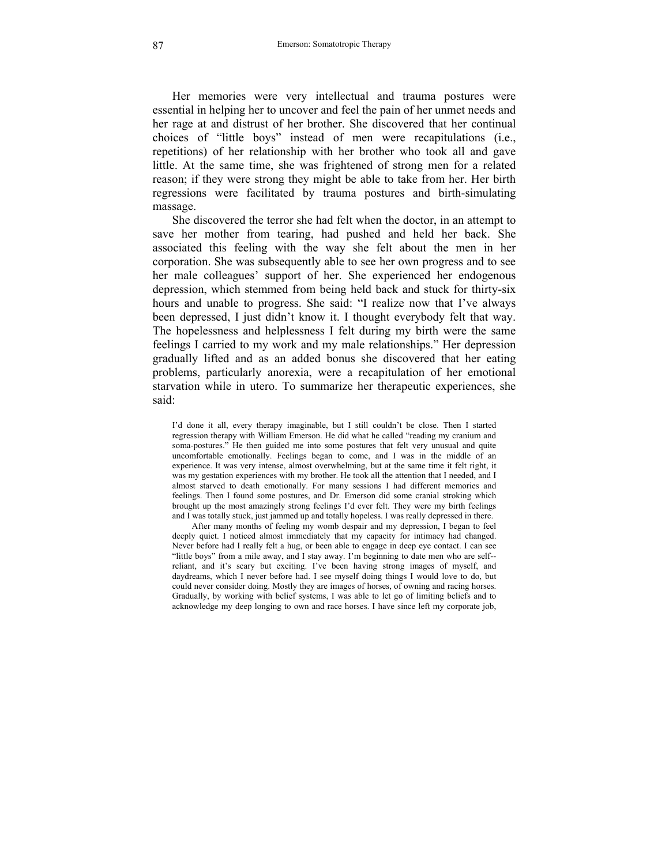Her memories were very intellectual and trauma postures were essential in helping her to uncover and feel the pain of her unmet needs and her rage at and distrust of her brother. She discovered that her continual choices of "little boys" instead of men were recapitulations (i.e., repetitions) of her relationship with her brother who took all and gave little. At the same time, she was frightened of strong men for a related reason; if they were strong they might be able to take from her. Her birth regressions were facilitated by trauma postures and birth-simulating massage.

She discovered the terror she had felt when the doctor, in an attempt to save her mother from tearing, had pushed and held her back. She associated this feeling with the way she felt about the men in her corporation. She was subsequently able to see her own progress and to see her male colleagues' support of her. She experienced her endogenous depression, which stemmed from being held back and stuck for thirty-six hours and unable to progress. She said: "I realize now that I've always been depressed, I just didn't know it. I thought everybody felt that way. The hopelessness and helplessness I felt during my birth were the same feelings I carried to my work and my male relationships." Her depression gradually lifted and as an added bonus she discovered that her eating problems, particularly anorexia, were a recapitulation of her emotional starvation while in utero. To summarize her therapeutic experiences, she said:

I'd done it all, every therapy imaginable, but I still couldn't be close. Then I started regression therapy with William Emerson. He did what he called "reading my cranium and soma-postures." He then guided me into some postures that felt very unusual and quite uncomfortable emotionally. Feelings began to come, and I was in the middle of an experience. It was very intense, almost overwhelming, but at the same time it felt right, it was my gestation experiences with my brother. He took all the attention that I needed, and I almost starved to death emotionally. For many sessions I had different memories and feelings. Then I found some postures, and Dr. Emerson did some cranial stroking which brought up the most amazingly strong feelings I'd ever felt. They were my birth feelings and I was totally stuck, just jammed up and totally hopeless. I was really depressed in there.

After many months of feeling my womb despair and my depression, I began to feel deeply quiet. I noticed almost immediately that my capacity for intimacy had changed. Never before had I really felt a hug, or been able to engage in deep eye contact. I can see "little boys" from a mile away, and I stay away. I'm beginning to date men who are self- reliant, and it's scary but exciting. I've been having strong images of myself, and daydreams, which I never before had. I see myself doing things I would love to do, but could never consider doing. Mostly they are images of horses, of owning and racing horses. Gradually, by working with belief systems, I was able to let go of limiting beliefs and to acknowledge my deep longing to own and race horses. I have since left my corporate job,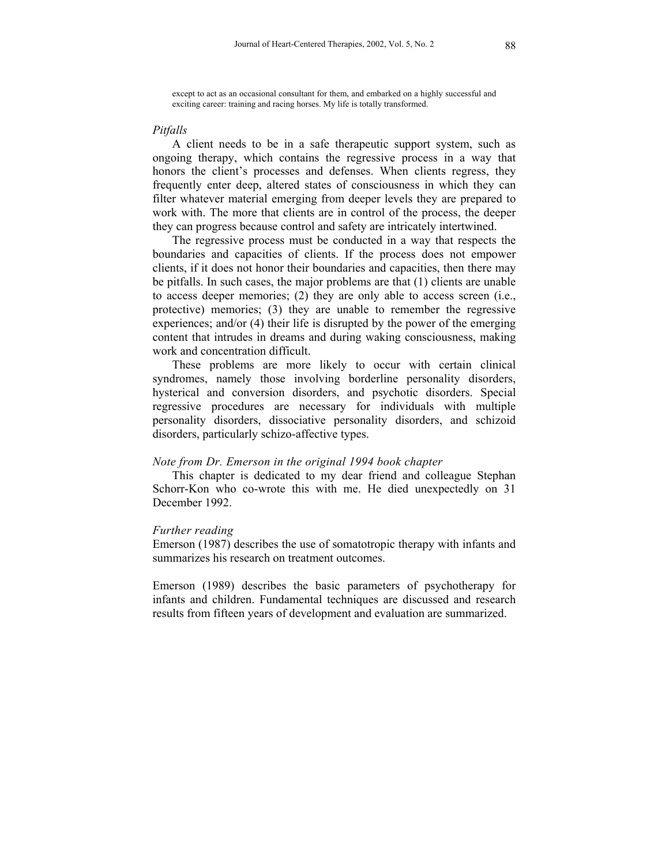except to act as an occasional consultant for them, and embarked on a highly successful and exciting career: training and racing horses. My life is totally transformed.

#### *Pitfalls*

A client needs to be in a safe therapeutic support system, such as ongoing therapy, which contains the regressive process in a way that honors the client's processes and defenses. When clients regress, they frequently enter deep, altered states of consciousness in which they can filter whatever material emerging from deeper levels they are prepared to work with. The more that clients are in control of the process, the deeper they can progress because control and safety are intricately intertwined.

The regressive process must be conducted in a way that respects the boundaries and capacities of clients. If the process does not empower clients, if it does not honor their boundaries and capacities, then there may be pitfalls. In such cases, the major problems are that (1) clients are unable to access deeper memories; (2) they are only able to access screen (i.e., protective) memories; (3) they are unable to remember the regressive experiences; and/or (4) their life is disrupted by the power of the emerging content that intrudes in dreams and during waking consciousness, making work and concentration difficult.

These problems are more likely to occur with certain clinical syndromes, namely those involving borderline personality disorders, hysterical and conversion disorders, and psychotic disorders. Special regressive procedures are necessary for individuals with multiple personality disorders, dissociative personality disorders, and schizoid disorders, particularly schizo-affective types.

#### *Note from Dr. Emerson in the original 1994 book chapter*

This chapter is dedicated to my dear friend and colleague Stephan Schorr-Kon who co-wrote this with me. He died unexpectedly on 31 December 1992.

#### *Further reading*

Emerson (1987) describes the use of somatotropic therapy with infants and summarizes his research on treatment outcomes.

Emerson (1989) describes the basic parameters of psychotherapy for infants and children. Fundamental techniques are discussed and research results from fifteen years of development and evaluation are summarized.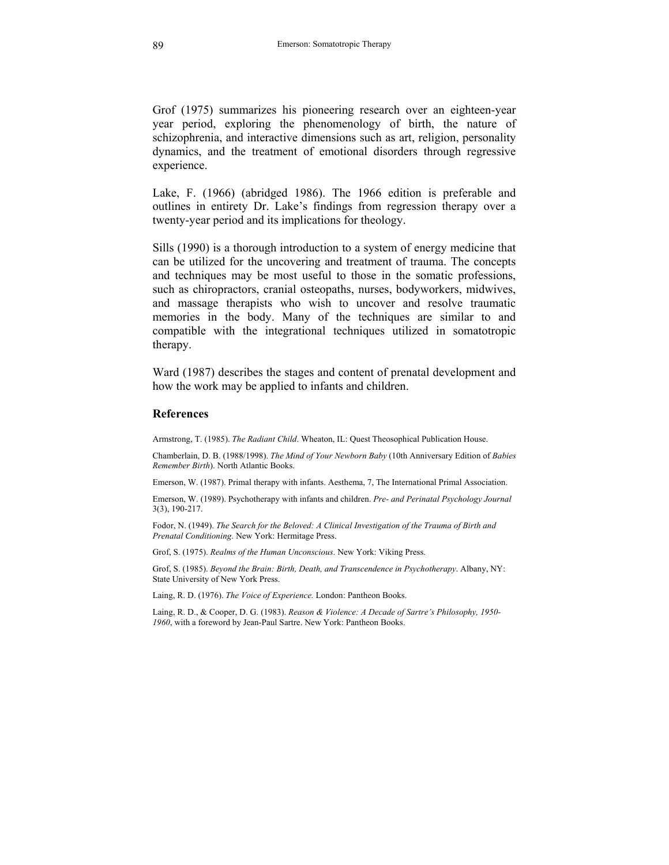Grof (1975) summarizes his pioneering research over an eighteen-year year period, exploring the phenomenology of birth, the nature of schizophrenia, and interactive dimensions such as art, religion, personality dynamics, and the treatment of emotional disorders through regressive experience.

Lake, F. (1966) (abridged 1986). The 1966 edition is preferable and outlines in entirety Dr. Lake's findings from regression therapy over a twenty-year period and its implications for theology.

Sills (1990) is a thorough introduction to a system of energy medicine that can be utilized for the uncovering and treatment of trauma. The concepts and techniques may be most useful to those in the somatic professions, such as chiropractors, cranial osteopaths, nurses, bodyworkers, midwives, and massage therapists who wish to uncover and resolve traumatic memories in the body. Many of the techniques are similar to and compatible with the integrational techniques utilized in somatotropic therapy.

Ward (1987) describes the stages and content of prenatal development and how the work may be applied to infants and children.

# **References**

Armstrong, T. (1985). *The Radiant Child*. Wheaton, IL: Quest Theosophical Publication House.

Chamberlain, D. B. (1988/1998). *The Mind of Your Newborn Baby* (10th Anniversary Edition of *Babies Remember Birth*). North Atlantic Books.

Emerson, W. (1987). Primal therapy with infants. Aesthema, 7, The International Primal Association.

Emerson, W. (1989). Psychotherapy with infants and children. *Pre- and Perinatal Psychology Journal* 3(3), 190-217.

Fodor, N. (1949). *The Search for the Beloved: A Clinical Investigation of the Trauma of Birth and Prenatal Conditioning*. New York: Hermitage Press.

Grof, S. (1975). *Realms of the Human Unconscious*. New York: Viking Press.

Grof, S. (1985). *Beyond the Brain: Birth, Death, and Transcendence in Psychotherapy*. Albany, NY: State University of New York Press.

Laing, R. D. (1976). *The Voice of Experience.* London: Pantheon Books.

Laing, R. D., & Cooper, D. G. (1983). *Reason & Violence: A Decade of Sartre's Philosophy, 1950- 1960*, with a foreword by Jean-Paul Sartre. New York: Pantheon Books.